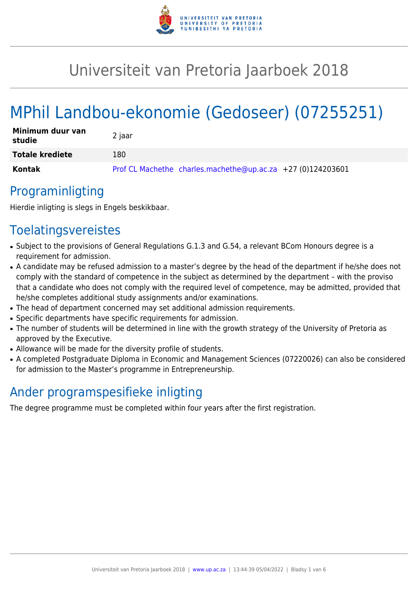

# Universiteit van Pretoria Jaarboek 2018

# MPhil Landbou-ekonomie (Gedoseer) (07255251)

| Minimum duur van<br>studie | 2 jaar                                                      |
|----------------------------|-------------------------------------------------------------|
| <b>Totale krediete</b>     | 180                                                         |
| Kontak                     | Prof CL Machethe charles.machethe@up.ac.za +27 (0)124203601 |

### Programinligting

Hierdie inligting is slegs in Engels beskikbaar.

# **Toelatingsvereistes**

- Subject to the provisions of General Regulations G.1.3 and G.54, a relevant BCom Honours degree is a requirement for admission.
- A candidate may be refused admission to a master's degree by the head of the department if he/she does not comply with the standard of competence in the subject as determined by the department – with the proviso that a candidate who does not comply with the required level of competence, may be admitted, provided that he/she completes additional study assignments and/or examinations.
- The head of department concerned may set additional admission requirements.
- Specific departments have specific requirements for admission.
- The number of students will be determined in line with the growth strategy of the University of Pretoria as approved by the Executive.
- Allowance will be made for the diversity profile of students.
- A completed Postgraduate Diploma in Economic and Management Sciences (07220026) can also be considered for admission to the Master's programme in Entrepreneurship.

# Ander programspesifieke inligting

The degree programme must be completed within four years after the first registration.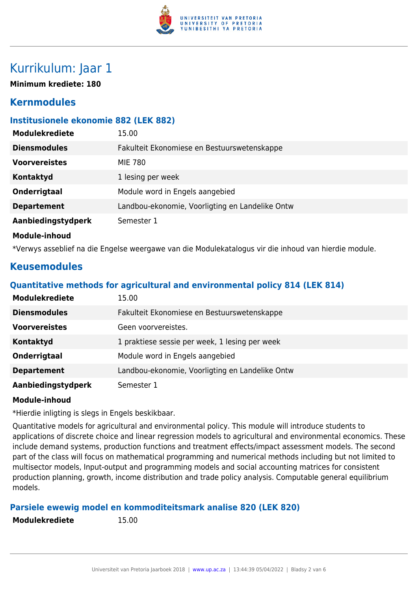

# Kurrikulum: Jaar 1

**Minimum krediete: 180**

### **Kernmodules**

#### **Institusionele ekonomie 882 (LEK 882)**

| <b>Modulekrediete</b> | 15.00                                           |
|-----------------------|-------------------------------------------------|
| <b>Diensmodules</b>   | Fakulteit Ekonomiese en Bestuurswetenskappe     |
| <b>Voorvereistes</b>  | MIE 780                                         |
| Kontaktyd             | 1 lesing per week                               |
| Onderrigtaal          | Module word in Engels aangebied                 |
| <b>Departement</b>    | Landbou-ekonomie, Voorligting en Landelike Ontw |
| Aanbiedingstydperk    | Semester 1                                      |
| Module-inhoud         |                                                 |

\*Verwys asseblief na die Engelse weergawe van die Modulekatalogus vir die inhoud van hierdie module.

### **Keusemodules**

#### **Quantitative methods for agricultural and environmental policy 814 (LEK 814)**

| <b>Modulekrediete</b> | 15.00                                           |
|-----------------------|-------------------------------------------------|
| <b>Diensmodules</b>   | Fakulteit Ekonomiese en Bestuurswetenskappe     |
| <b>Voorvereistes</b>  | Geen voorvereistes.                             |
| <b>Kontaktyd</b>      | 1 praktiese sessie per week, 1 lesing per week  |
| Onderrigtaal          | Module word in Engels aangebied                 |
| <b>Departement</b>    | Landbou-ekonomie, Voorligting en Landelike Ontw |
| Aanbiedingstydperk    | Semester 1                                      |

#### **Module-inhoud**

\*Hierdie inligting is slegs in Engels beskikbaar.

Quantitative models for agricultural and environmental policy. This module will introduce students to applications of discrete choice and linear regression models to agricultural and environmental economics. These include demand systems, production functions and treatment effects/impact assessment models. The second part of the class will focus on mathematical programming and numerical methods including but not limited to multisector models, Input-output and programming models and social accounting matrices for consistent production planning, growth, income distribution and trade policy analysis. Computable general equilibrium models.

#### **Parsiele ewewig model en kommoditeitsmark analise 820 (LEK 820)**

**Modulekrediete** 15.00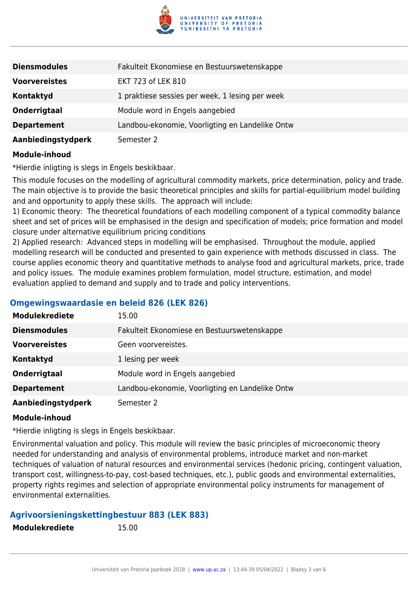

| <b>Diensmodules</b>  | Fakulteit Ekonomiese en Bestuurswetenskappe     |
|----------------------|-------------------------------------------------|
| <b>Voorvereistes</b> | EKT 723 of LEK 810                              |
| <b>Kontaktyd</b>     | 1 praktiese sessies per week, 1 lesing per week |
| Onderrigtaal         | Module word in Engels aangebied                 |
| <b>Departement</b>   | Landbou-ekonomie, Voorligting en Landelike Ontw |
| Aanbiedingstydperk   | Semester 2                                      |

#### **Module-inhoud**

\*Hierdie inligting is slegs in Engels beskikbaar.

This module focuses on the modelling of agricultural commodity markets, price determination, policy and trade. The main objective is to provide the basic theoretical principles and skills for partial-equilibrium model building and and opportunity to apply these skills. The approach will include:

1) Economic theory: The theoretical foundations of each modelling component of a typical commodity balance sheet and set of prices will be emphasised in the design and specification of models; price formation and model closure under alternative equilibrium pricing conditions

2) Applied research: Advanced steps in modelling will be emphasised. Throughout the module, applied modelling research will be conducted and presented to gain experience with methods discussed in class. The course applies economic theory and quantitative methods to analyse food and agricultural markets, price, trade and policy issues. The module examines problem formulation, model structure, estimation, and model evaluation applied to demand and supply and to trade and policy interventions.

#### **Omgewingswaardasie en beleid 826 (LEK 826)**

| <b>Modulekrediete</b> | 15.00                                           |
|-----------------------|-------------------------------------------------|
| <b>Diensmodules</b>   | Fakulteit Ekonomiese en Bestuurswetenskappe     |
| <b>Voorvereistes</b>  | Geen voorvereistes.                             |
| Kontaktyd             | 1 lesing per week                               |
| Onderrigtaal          | Module word in Engels aangebied                 |
| <b>Departement</b>    | Landbou-ekonomie, Voorligting en Landelike Ontw |
| Aanbiedingstydperk    | Semester 2                                      |

#### **Module-inhoud**

\*Hierdie inligting is slegs in Engels beskikbaar.

Environmental valuation and policy. This module will review the basic principles of microeconomic theory needed for understanding and analysis of environmental problems, introduce market and non-market techniques of valuation of natural resources and environmental services (hedonic pricing, contingent valuation, transport cost, willingness-to-pay, cost-based techniques, etc.), public goods and environmental externalities, property rights regimes and selection of appropriate environmental policy instruments for management of environmental externalities.

#### **Agrivoorsieningskettingbestuur 883 (LEK 883)**

**Modulekrediete** 15.00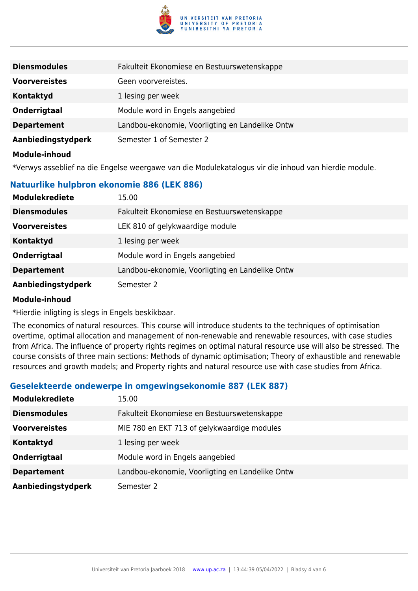

| <b>Diensmodules</b>  | Fakulteit Ekonomiese en Bestuurswetenskappe     |
|----------------------|-------------------------------------------------|
| <b>Voorvereistes</b> | Geen voorvereistes.                             |
| Kontaktyd            | 1 lesing per week                               |
| Onderrigtaal         | Module word in Engels aangebied                 |
| <b>Departement</b>   | Landbou-ekonomie, Voorligting en Landelike Ontw |
| Aanbiedingstydperk   | Semester 1 of Semester 2                        |
| Modulo-inhoud        |                                                 |

**Module-inhoud**

\*Verwys asseblief na die Engelse weergawe van die Modulekatalogus vir die inhoud van hierdie module.

#### **Natuurlike hulpbron ekonomie 886 (LEK 886)**

| <b>Modulekrediete</b> | 15.00                                           |
|-----------------------|-------------------------------------------------|
| <b>Diensmodules</b>   | Fakulteit Ekonomiese en Bestuurswetenskappe     |
| <b>Voorvereistes</b>  | LEK 810 of gelykwaardige module                 |
| Kontaktyd             | 1 lesing per week                               |
| Onderrigtaal          | Module word in Engels aangebied                 |
| <b>Departement</b>    | Landbou-ekonomie, Voorligting en Landelike Ontw |
| Aanbiedingstydperk    | Semester 2                                      |

#### **Module-inhoud**

\*Hierdie inligting is slegs in Engels beskikbaar.

The economics of natural resources. This course will introduce students to the techniques of optimisation overtime, optimal allocation and management of non-renewable and renewable resources, with case studies from Africa. The influence of property rights regimes on optimal natural resource use will also be stressed. The course consists of three main sections: Methods of dynamic optimisation; Theory of exhaustible and renewable resources and growth models; and Property rights and natural resource use with case studies from Africa.

#### **Geselekteerde ondewerpe in omgewingsekonomie 887 (LEK 887)**

| <b>Modulekrediete</b> | 15.00                                           |
|-----------------------|-------------------------------------------------|
| <b>Diensmodules</b>   | Fakulteit Ekonomiese en Bestuurswetenskappe     |
| <b>Voorvereistes</b>  | MIE 780 en EKT 713 of gelykwaardige modules     |
| Kontaktyd             | 1 lesing per week                               |
| Onderrigtaal          | Module word in Engels aangebied                 |
| <b>Departement</b>    | Landbou-ekonomie, Voorligting en Landelike Ontw |
| Aanbiedingstydperk    | Semester 2                                      |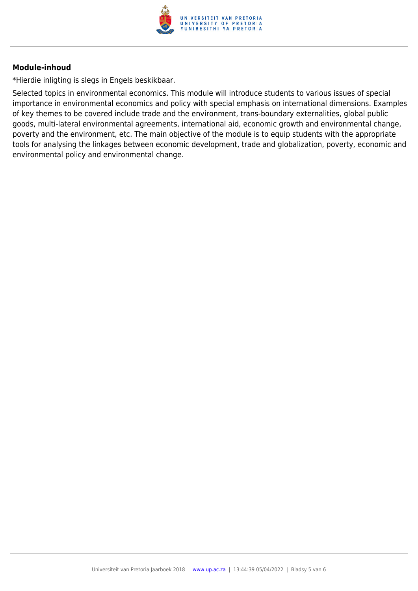

#### **Module-inhoud**

\*Hierdie inligting is slegs in Engels beskikbaar.

Selected topics in environmental economics. This module will introduce students to various issues of special importance in environmental economics and policy with special emphasis on international dimensions. Examples of key themes to be covered include trade and the environment, trans-boundary externalities, global public goods, multi-lateral environmental agreements, international aid, economic growth and environmental change, poverty and the environment, etc. The main objective of the module is to equip students with the appropriate tools for analysing the linkages between economic development, trade and globalization, poverty, economic and environmental policy and environmental change.